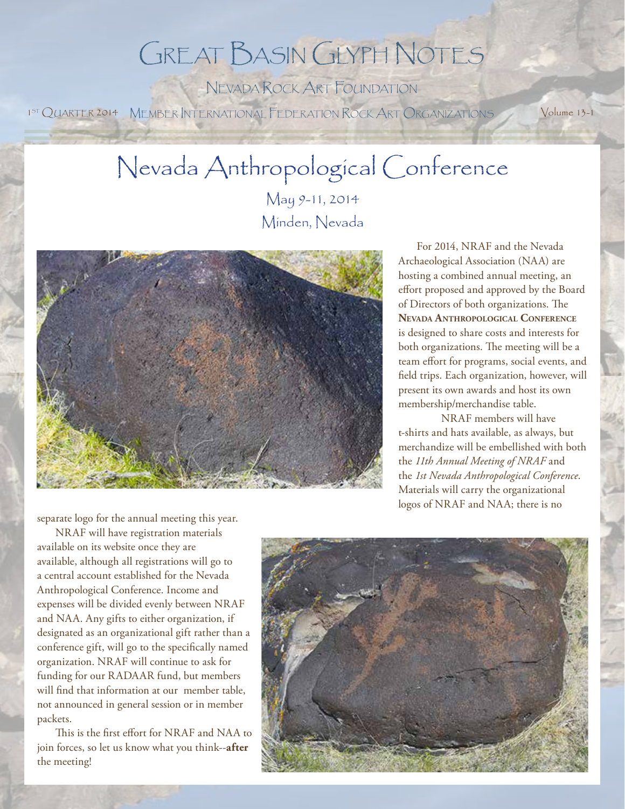## Great Basin Glyph Notes

Nevada Rock Art Foundation 1<sup>5T</sup> QUARTER 2014 MEMBER INTERNATIONAL FEDERATION ROCK ART ORGANIZATIONS Volume 13-1

### Nevada Anthropological Conference

May 9-11, 2014 Minden, Nevada



For 2014, NRAF and the Nevada Archaeological Association (NAA) are hosting a combined annual meeting, an effort proposed and approved by the Board of Directors of both organizations. The **Nevada Anthropological Conference** is designed to share costs and interests for both organizations. The meeting will be a team effort for programs, social events, and field trips. Each organization, however, will present its own awards and host its own membership/merchandise table.

NRAF members will have t-shirts and hats available, as always, but merchandize will be embellished with both the *11th Annual Meeting of NRAF* and the *1st Nevada Anthropological Conference*. Materials will carry the organizational logos of NRAF and NAA; there is no

separate logo for the annual meeting this year.

NRAF will have registration materials available on its website once they are available, although all registrations will go to a central account established for the Nevada Anthropological Conference. Income and expenses will be divided evenly between NRAF and NAA. Any gifts to either organization, if designated as an organizational gift rather than a conference gift, will go to the specifically named organization. NRAF will continue to ask for funding for our RADAAR fund, but members will find that information at our member table, not announced in general session or in member packets.

This is the first effort for NRAF and NAA to join forces, so let us know what you think--**after** the meeting!

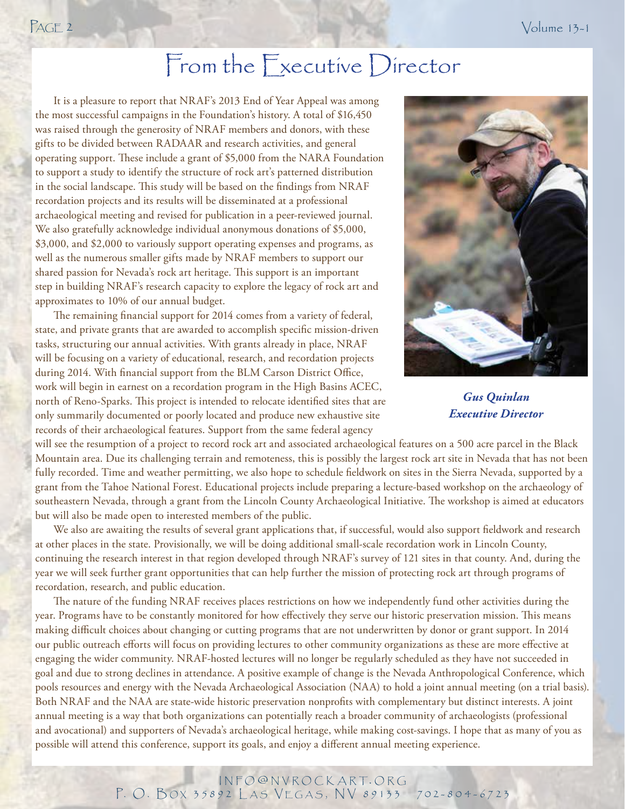### From the Executive Director

It is a pleasure to report that NRAF's 2013 End of Year Appeal was among the most successful campaigns in the Foundation's history. A total of \$16,450 was raised through the generosity of NRAF members and donors, with these gifts to be divided between RADAAR and research activities, and general operating support. These include a grant of \$5,000 from the NARA Foundation to support a study to identify the structure of rock art's patterned distribution in the social landscape. This study will be based on the findings from NRAF recordation projects and its results will be disseminated at a professional archaeological meeting and revised for publication in a peer-reviewed journal. We also gratefully acknowledge individual anonymous donations of \$5,000, \$3,000, and \$2,000 to variously support operating expenses and programs, as well as the numerous smaller gifts made by NRAF members to support our shared passion for Nevada's rock art heritage. This support is an important step in building NRAF's research capacity to explore the legacy of rock art and approximates to 10% of our annual budget.

The remaining financial support for 2014 comes from a variety of federal, state, and private grants that are awarded to accomplish specific mission-driven tasks, structuring our annual activities. With grants already in place, NRAF will be focusing on a variety of educational, research, and recordation projects during 2014. With financial support from the BLM Carson District Office, work will begin in earnest on a recordation program in the High Basins ACEC, north of Reno-Sparks. This project is intended to relocate identified sites that are only summarily documented or poorly located and produce new exhaustive site records of their archaeological features. Support from the same federal agency



*Gus Quinlan Executive Director*

will see the resumption of a project to record rock art and associated archaeological features on a 500 acre parcel in the Black Mountain area. Due its challenging terrain and remoteness, this is possibly the largest rock art site in Nevada that has not been fully recorded. Time and weather permitting, we also hope to schedule fieldwork on sites in the Sierra Nevada, supported by a grant from the Tahoe National Forest. Educational projects include preparing a lecture-based workshop on the archaeology of southeastern Nevada, through a grant from the Lincoln County Archaeological Initiative. The workshop is aimed at educators but will also be made open to interested members of the public.

We also are awaiting the results of several grant applications that, if successful, would also support fieldwork and research at other places in the state. Provisionally, we will be doing additional small-scale recordation work in Lincoln County, continuing the research interest in that region developed through NRAF's survey of 121 sites in that county. And, during the year we will seek further grant opportunities that can help further the mission of protecting rock art through programs of recordation, research, and public education.

The nature of the funding NRAF receives places restrictions on how we independently fund other activities during the year. Programs have to be constantly monitored for how effectively they serve our historic preservation mission. This means making difficult choices about changing or cutting programs that are not underwritten by donor or grant support. In 2014 our public outreach efforts will focus on providing lectures to other community organizations as these are more effective at engaging the wider community. NRAF-hosted lectures will no longer be regularly scheduled as they have not succeeded in goal and due to strong declines in attendance. A positive example of change is the Nevada Anthropological Conference, which pools resources and energy with the Nevada Archaeological Association (NAA) to hold a joint annual meeting (on a trial basis). Both NRAF and the NAA are state-wide historic preservation nonprofits with complementary but distinct interests. A joint annual meeting is a way that both organizations can potentially reach a broader community of archaeologists (professional and avocational) and supporters of Nevada's archaeological heritage, while making cost-savings. I hope that as many of you as possible will attend this conference, support its goals, and enjoy a different annual meeting experience.

#### INFO@NVROCKART.ORG P. O. BOX 35892 LAS VEGAS, NV 89133 702-804-6723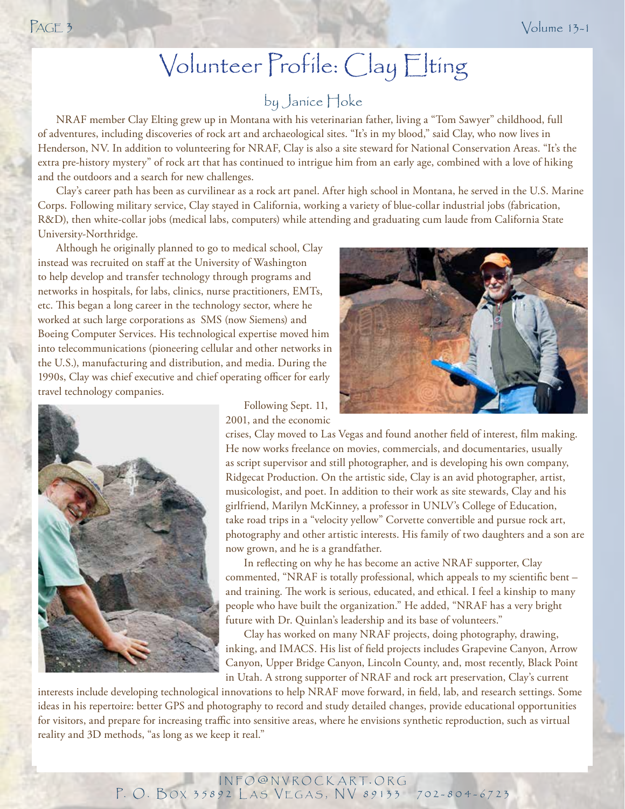### Volunteer Profile: Clay Elting

### by Janice Hoke

NRAF member Clay Elting grew up in Montana with his veterinarian father, living a "Tom Sawyer" childhood, full of adventures, including discoveries of rock art and archaeological sites. "It's in my blood," said Clay, who now lives in Henderson, NV. In addition to volunteering for NRAF, Clay is also a site steward for National Conservation Areas. "It's the extra pre-history mystery" of rock art that has continued to intrigue him from an early age, combined with a love of hiking and the outdoors and a search for new challenges.

Clay's career path has been as curvilinear as a rock art panel. After high school in Montana, he served in the U.S. Marine Corps. Following military service, Clay stayed in California, working a variety of blue-collar industrial jobs (fabrication, R&D), then white-collar jobs (medical labs, computers) while attending and graduating cum laude from California State University-Northridge.

Although he originally planned to go to medical school, Clay instead was recruited on staff at the University of Washington to help develop and transfer technology through programs and networks in hospitals, for labs, clinics, nurse practitioners, EMTs, etc. This began a long career in the technology sector, where he worked at such large corporations as SMS (now Siemens) and Boeing Computer Services. His technological expertise moved him into telecommunications (pioneering cellular and other networks in the U.S.), manufacturing and distribution, and media. During the 1990s, Clay was chief executive and chief operating officer for early travel technology companies.



Following Sept. 11, 2001, and the economic

crises, Clay moved to Las Vegas and found another field of interest, film making. He now works freelance on movies, commercials, and documentaries, usually as script supervisor and still photographer, and is developing his own company, Ridgecat Production. On the artistic side, Clay is an avid photographer, artist, musicologist, and poet. In addition to their work as site stewards, Clay and his girlfriend, Marilyn McKinney, a professor in UNLV's College of Education, take road trips in a "velocity yellow" Corvette convertible and pursue rock art, photography and other artistic interests. His family of two daughters and a son are now grown, and he is a grandfather.

In reflecting on why he has become an active NRAF supporter, Clay commented, "NRAF is totally professional, which appeals to my scientific bent – and training. The work is serious, educated, and ethical. I feel a kinship to many people who have built the organization." He added, "NRAF has a very bright future with Dr. Quinlan's leadership and its base of volunteers."

Clay has worked on many NRAF projects, doing photography, drawing, inking, and IMACS. His list of field projects includes Grapevine Canyon, Arrow Canyon, Upper Bridge Canyon, Lincoln County, and, most recently, Black Point in Utah. A strong supporter of NRAF and rock art preservation, Clay's current

interests include developing technological innovations to help NRAF move forward, in field, lab, and research settings. Some ideas in his repertoire: better GPS and photography to record and study detailed changes, provide educational opportunities for visitors, and prepare for increasing traffic into sensitive areas, where he envisions synthetic reproduction, such as virtual reality and 3D methods, "as long as we keep it real."

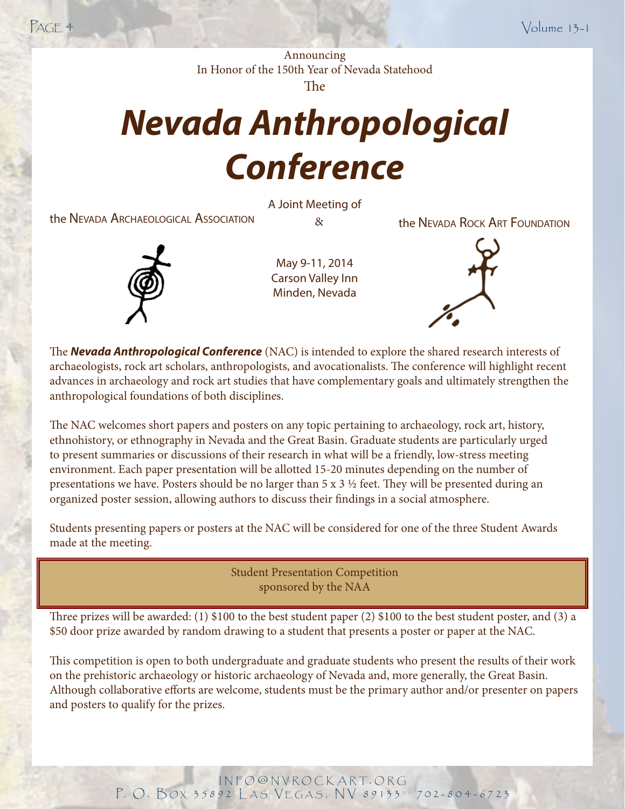Announcing In Honor of the 150th Year of Nevada Statehood The

# *Nevada Anthropological Conference*

the Nevada Archaeological Association  $\alpha$   $\alpha$  the Nevada Rock Art Foundation

A Joint Meeting of



May 9-11, 2014 Carson Valley Inn Minden, Nevada

The **Nevada Anthropological Conference** (NAC) is intended to explore the shared research interests of archaeologists, rock art scholars, anthropologists, and avocationalists. The conference will highlight recent advances in archaeology and rock art studies that have complementary goals and ultimately strengthen the anthropological foundations of both disciplines.

The NAC welcomes short papers and posters on any topic pertaining to archaeology, rock art, history, ethnohistory, or ethnography in Nevada and the Great Basin. Graduate students are particularly urged to present summaries or discussions of their research in what will be a friendly, low-stress meeting environment. Each paper presentation will be allotted 15-20 minutes depending on the number of presentations we have. Posters should be no larger than  $5 \times 3 \frac{1}{2}$  feet. They will be presented during an organized poster session, allowing authors to discuss their findings in a social atmosphere.

Students presenting papers or posters at the NAC will be considered for one of the three Student Awards made at the meeting.

> Student Presentation Competition sponsored by the NAA

Three prizes will be awarded: (1) \$100 to the best student paper (2) \$100 to the best student poster, and (3) a \$50 door prize awarded by random drawing to a student that presents a poster or paper at the NAC.

This competition is open to both undergraduate and graduate students who present the results of their work on the prehistoric archaeology or historic archaeology of Nevada and, more generally, the Great Basin. Although collaborative efforts are welcome, students must be the primary author and/or presenter on papers and posters to qualify for the prizes.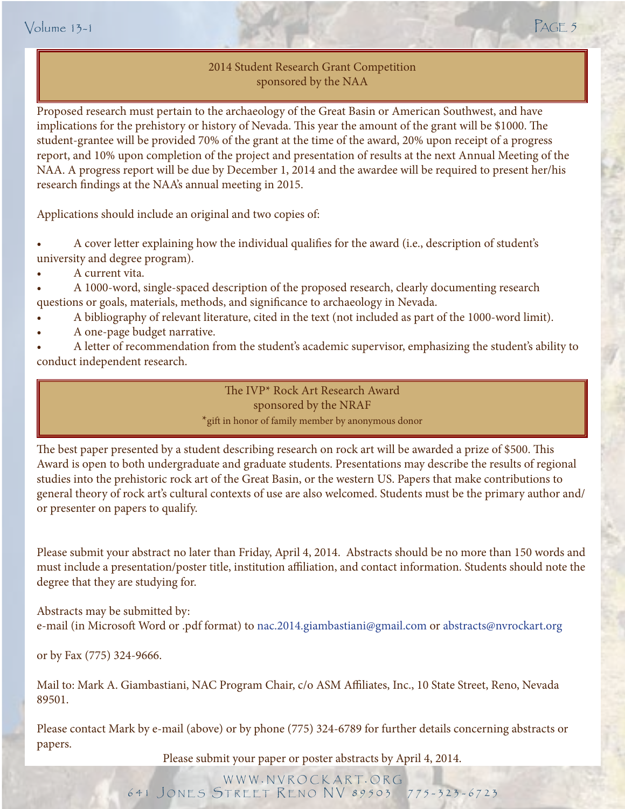2014 Student Research Grant Competition sponsored by the NAA

Proposed research must pertain to the archaeology of the Great Basin or American Southwest, and have implications for the prehistory or history of Nevada. This year the amount of the grant will be \$1000. The student-grantee will be provided 70% of the grant at the time of the award, 20% upon receipt of a progress report, and 10% upon completion of the project and presentation of results at the next Annual Meeting of the NAA. A progress report will be due by December 1, 2014 and the awardee will be required to present her/his research findings at the NAA's annual meeting in 2015.

Applications should include an original and two copies of:

- A cover letter explaining how the individual qualifies for the award (i.e., description of student's university and degree program).
- A current vita.

• A 1000-word, single-spaced description of the proposed research, clearly documenting research

- A bibliography of relevant literature, cited in the text (not included as part of the 1000-word limit).
- A one-page budget narrative.

• A letter of recommendation from the student's academic supervisor, emphasizing the student's ability to conduct independent research.

> sponsored by the NRAF The IVP\* Rock Art Research Award \*gift in honor of family member by anonymous donor

The best paper presented by a student describing research on rock art will be awarded a prize of \$500. This Award is open to both undergraduate and graduate students. Presentations may describe the results of regional studies into the prehistoric rock art of the Great Basin, or the western US. Papers that make contributions to general theory of rock art's cultural contexts of use are also welcomed. Students must be the primary author and/ or presenter on papers to qualify.

Please submit your abstract no later than Friday, April 4, 2014. Abstracts should be no more than 150 words and must include a presentation/poster title, institution affiliation, and contact information. Students should note the degree that they are studying for.

Abstracts may be submitted by: e-mail (in Microsoft Word or .pdf format) to nac.2014.giambastiani@gmail.com or [abstracts@nvrockart.org](mailto:info@nvrockart.org)

or by Fax (775) 324-9666.

Mail to: Mark A. Giambastiani, NAC Program Chair, c/o ASM Affiliates, Inc., 10 State Street, Reno, Nevada 89501.

Please contact Mark by e-mail (above) or by phone (775) 324-6789 for further details concerning abstracts or papers.

Please submit your paper or poster abstracts by April 4, 2014.

w w w . n v r o c k a r t. o r g 641 JONES STREET RENO NV 89503 775-323-6723

- 
- questions or goals, materials, methods, and significance to archaeology in Nevada.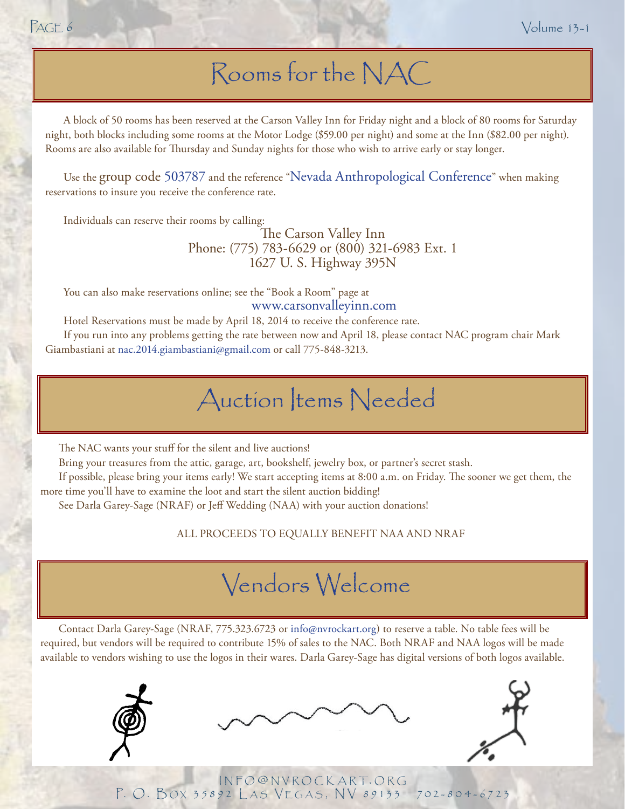### Rooms for the NAC

A block of 50 rooms has been reserved at the Carson Valley Inn for Friday night and a block of 80 rooms for Saturday night, both blocks including some rooms at the Motor Lodge (\$59.00 per night) and some at the Inn (\$82.00 per night). Rooms are also available for Thursday and Sunday nights for those who wish to arrive early or stay longer.

Use the group code 503787 and the reference "Nevada Anthropological Conference" when making reservations to insure you receive the conference rate.

Individuals can reserve their rooms by calling:

The Carson Valley Inn Phone: (775) 783-6629 or (800) 321-6983 Ext. 1 1627 U. S. Highway 395N

You can also make reservations online; see the "Book a Room" page at [www.carsonvalleyinn.com](http://www.carsonvalleyinn.com)

Hotel Reservations must be made by April 18, 2014 to receive the conference rate.

If you run into any problems getting the rate between now and April 18, please contact NAC program chair Mark Giambastiani at [nac.2014.giambastiani@gmail.com](mailto:nac.2014.giambastiani%40gmail.com?subject=) or call 775-848-3213.

### Auction Items Needed

The NAC wants your stuff for the silent and live auctions!

Bring your treasures from the attic, garage, art, bookshelf, jewelry box, or partner's secret stash.

If possible, please bring your items early! We start accepting items at 8:00 a.m. on Friday. The sooner we get them, the more time you'll have to examine the loot and start the silent auction bidding!

See Darla Garey-Sage (NRAF) or Jeff Wedding (NAA) with your auction donations!

ALL PROCEEDS TO EQUALLY BENEFIT NAA AND NRAF

### Vendors Welcome

Contact Darla Garey-Sage (NRAF, 775.323.6723 or [info@nvrockart.org\)](mailto:info@nvrockart.org) to reserve a table. No table fees will be required, but vendors will be required to contribute 15% of sales to the NAC. Both NRAF and NAA logos will be made available to vendors wishing to use the logos in their wares. Darla Garey-Sage has digital versions of both logos available.







INFO@NVROCKART.ORG P. O. BOX 35892 LAS VEGAS, NV 89133 702-804-6723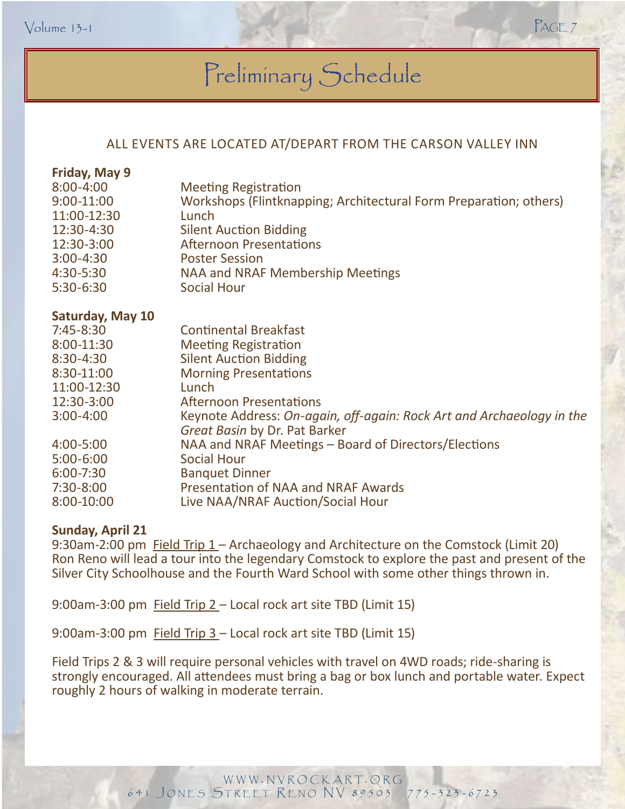### Preliminary Schedule

#### ALL EVENTS ARE LOCATED AT/DEPART FROM THE CARSON VALLEY INN

| <b>Meeting Registration</b>                                                                            |
|--------------------------------------------------------------------------------------------------------|
| Workshops (Flintknapping; Architectural Form Preparation; others)                                      |
| Lunch                                                                                                  |
| <b>Silent Auction Bidding</b>                                                                          |
| <b>Afternoon Presentations</b>                                                                         |
| <b>Poster Session</b>                                                                                  |
| NAA and NRAF Membership Meetings                                                                       |
| <b>Social Hour</b>                                                                                     |
|                                                                                                        |
| <b>Continental Breakfast</b>                                                                           |
| <b>Meeting Registration</b>                                                                            |
| <b>Silent Auction Bidding</b>                                                                          |
| <b>Morning Presentations</b>                                                                           |
| Lunch                                                                                                  |
| <b>Afternoon Presentations</b>                                                                         |
| Keynote Address: On-again, off-again: Rock Art and Archaeology in the<br>Great Basin by Dr. Pat Barker |
| NAA and NRAF Meetings – Board of Directors/Elections                                                   |
| <b>Social Hour</b>                                                                                     |
| <b>Banquet Dinner</b>                                                                                  |
| Presentation of NAA and NRAF Awards                                                                    |
| Live NAA/NRAF Auction/Social Hour                                                                      |
|                                                                                                        |

#### **Sunday, April 21**

9:30am-2:00 pm Field Trip 1 – Archaeology and Architecture on the Comstock (Limit 20) Ron Reno will lead a tour into the legendary Comstock to explore the past and present of the Silver City Schoolhouse and the Fourth Ward School with some other things thrown in.

9:00am-3:00 pm Field Trip 2 – Local rock art site TBD (Limit 15)

9:00am-3:00 pm Field Trip 3 – Local rock art site TBD (Limit 15)

Field Trips 2 & 3 will require personal vehicles with travel on 4WD roads; ride-sharing is <br>
strongly encouraged. All attendees must bring a bag or box lunch and portable water. Expect roughly 2 hours of walking in moderate terrain.

> WWW.NVROCKART.ORG 641 JONES STREET RENO NV 89503 775-323-6723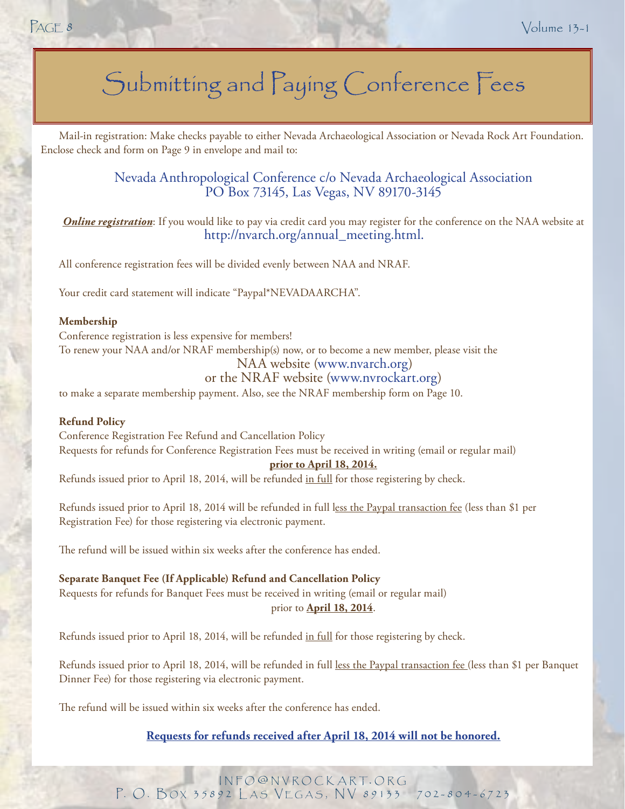### Submitting and Paying Conference Fees

Mail-in registration: Make checks payable to either Nevada Archaeological Association or Nevada Rock Art Foundation. Enclose check and form on Page 9 in envelope and mail to:

> [Nevada Anthropological Conference c/o Nevada Archaeological Association](http://nac.2014.giambastiani@gamil.com) PO Box 73145, Las Vegas, NV 89170-3145

*Online registration*: If you would like to pay via credit card you may register for the conference on the NAA website at [http://nvarch.org/annual\\_meeting.html](http://nvarch.org/annual_meeting.html).

All conference registration fees will be divided evenly between NAA and NRAF.

Your credit card statement will indicate "Paypal\*NEVADAARCHA".

#### **Membership**

Conference registration is less expensive for members! To renew your NAA and/or NRAF membership(s) now, or to become a new member, please visit the NAA website [\(www.nvarch.org](http://www.nvarch.org))

#### or the NRAF website [\(www.nvrockart.org\)](http://www.nvrockart.org)

to make a separate membership payment. Also, see the NRAF membership form on Page 10.

#### **Refund Policy**

Conference Registration Fee Refund and Cancellation Policy Requests for refunds for Conference Registration Fees must be received in writing (email or regular mail)

#### **prior to April 18, 2014.**

Refunds issued prior to April 18, 2014, will be refunded in full for those registering by check.

Refunds issued prior to April 18, 2014 will be refunded in full less the Paypal transaction fee (less than \$1 per Registration Fee) for those registering via electronic payment.

The refund will be issued within six weeks after the conference has ended.

**Separate Banquet Fee (If Applicable) Refund and Cancellation Policy** Requests for refunds for Banquet Fees must be received in writing (email or regular mail) prior to **April 18, 2014**.

Refunds issued prior to April 18, 2014, will be refunded in full for those registering by check.

Refunds issued prior to April 18, 2014, will be refunded in full less the Paypal transaction fee (less than \$1 per Banquet Dinner Fee) for those registering via electronic payment.

The refund will be issued within six weeks after the conference has ended.

#### **Requests for refunds received after April 18, 2014 will not be honored.**

INFO@NVROCKART.ORG P. O. BOX 35892 LAS VEGAS, NV 89133 702-804-6723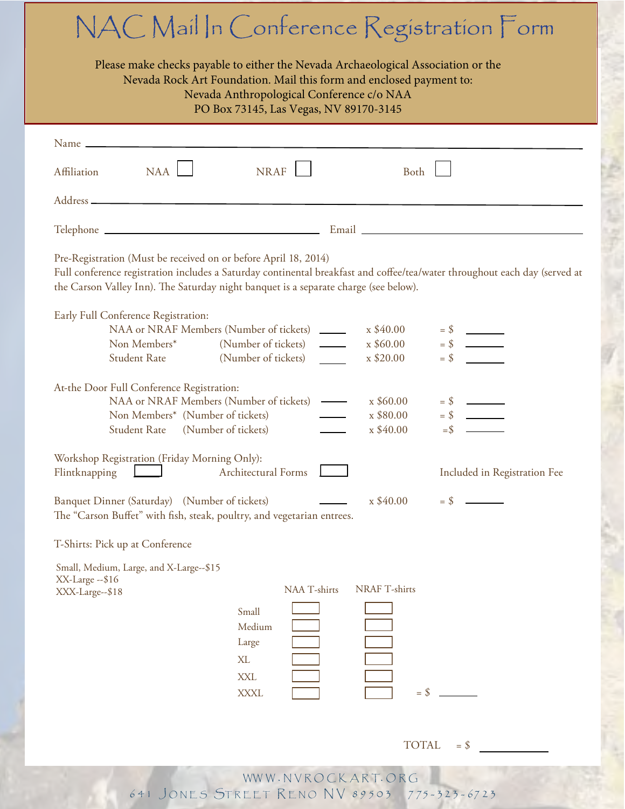|                                                                                                                                                                                                                                                                                       | PO Box 73145, Las Vegas, NV 89170-3145                                          |                                |                              |  |
|---------------------------------------------------------------------------------------------------------------------------------------------------------------------------------------------------------------------------------------------------------------------------------------|---------------------------------------------------------------------------------|--------------------------------|------------------------------|--|
| Name _                                                                                                                                                                                                                                                                                |                                                                                 |                                |                              |  |
| NAA<br>Affiliation                                                                                                                                                                                                                                                                    | <b>NRAF</b>                                                                     | Both                           |                              |  |
|                                                                                                                                                                                                                                                                                       |                                                                                 |                                |                              |  |
|                                                                                                                                                                                                                                                                                       |                                                                                 |                                |                              |  |
| Pre-Registration (Must be received on or before April 18, 2014)<br>Full conference registration includes a Saturday continental breakfast and coffee/tea/water throughout each day (served at<br>the Carson Valley Inn). The Saturday night banquet is a separate charge (see below). |                                                                                 |                                |                              |  |
| Early Full Conference Registration:                                                                                                                                                                                                                                                   |                                                                                 |                                |                              |  |
| Non Members*                                                                                                                                                                                                                                                                          | NAA or NRAF Members (Number of tickets)<br>(Number of tickets)<br>$\frac{1}{1}$ | $x$ \$40.00<br>$x$ \$60.00     |                              |  |
| <b>Student Rate</b>                                                                                                                                                                                                                                                                   | (Number of tickets)                                                             | $x$ \$20.00                    |                              |  |
| At-the Door Full Conference Registration:                                                                                                                                                                                                                                             |                                                                                 |                                |                              |  |
|                                                                                                                                                                                                                                                                                       | NAA or NRAF Members (Number of tickets) —                                       | $\frac{\times \$60.00}{\times$ |                              |  |
| Non Members* (Number of tickets)<br>Student Rate                                                                                                                                                                                                                                      | (Number of tickets)                                                             | x \$80.00<br>$x$ \$40.00       |                              |  |
| Workshop Registration (Friday Morning Only):<br>Flintknapping <u>Daniel Architectural</u> Forms                                                                                                                                                                                       |                                                                                 |                                | Included in Registration Fee |  |
| Banquet Dinner (Saturday) (Number of tickets)<br>The "Carson Buffet" with fish, steak, poultry, and vegetarian entrees.                                                                                                                                                               |                                                                                 | $x$ \$40.00                    | $=$ \$                       |  |
| T-Shirts: Pick up at Conference                                                                                                                                                                                                                                                       |                                                                                 |                                |                              |  |
| Small, Medium, Large, and X-Large--\$15                                                                                                                                                                                                                                               |                                                                                 |                                |                              |  |
| XX-Large -- \$16<br>XXX-Large--\$18                                                                                                                                                                                                                                                   | NAA T-shirts                                                                    | <b>NRAF T-shirts</b>           |                              |  |
|                                                                                                                                                                                                                                                                                       | Small                                                                           |                                |                              |  |
|                                                                                                                                                                                                                                                                                       | Medium                                                                          |                                |                              |  |
|                                                                                                                                                                                                                                                                                       | Large                                                                           |                                |                              |  |
|                                                                                                                                                                                                                                                                                       | XL                                                                              |                                |                              |  |
|                                                                                                                                                                                                                                                                                       | <b>XXL</b>                                                                      |                                |                              |  |
|                                                                                                                                                                                                                                                                                       | <b>XXXL</b>                                                                     | $=$ \$                         |                              |  |
|                                                                                                                                                                                                                                                                                       |                                                                                 |                                |                              |  |
|                                                                                                                                                                                                                                                                                       |                                                                                 | <b>TOTAL</b>                   | $=$ \$                       |  |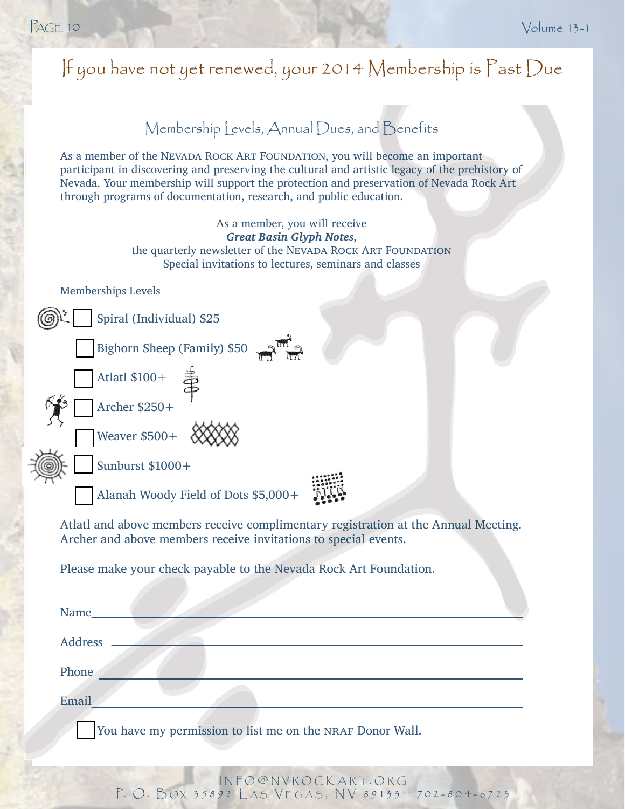| If you have not yet renewed, your 2014 Membership is $\Gamma$ ast Due                                                                                                                                                                                                                                                                           |
|-------------------------------------------------------------------------------------------------------------------------------------------------------------------------------------------------------------------------------------------------------------------------------------------------------------------------------------------------|
| Membership Levels, Annual Dues, and Benefits                                                                                                                                                                                                                                                                                                    |
| As a member of the NEVADA ROCK ART FOUNDATION, you will become an important<br>participant in discovering and preserving the cultural and artistic legacy of the prehistory of<br>Nevada. Your membership will support the protection and preservation of Nevada Rock Art<br>through programs of documentation, research, and public education. |
| As a member, you will receive<br><b>Great Basin Glyph Notes,</b><br>the quarterly newsletter of the NEVADA ROCK ART FOUNDATION<br>Special invitations to lectures, seminars and classes                                                                                                                                                         |
| <b>Memberships Levels</b>                                                                                                                                                                                                                                                                                                                       |
| Spiral (Individual) \$25                                                                                                                                                                                                                                                                                                                        |
| Bighorn Sheep (Family) \$50                                                                                                                                                                                                                                                                                                                     |
| Atlatl \$100+                                                                                                                                                                                                                                                                                                                                   |
| Archer \$250+                                                                                                                                                                                                                                                                                                                                   |
| Weaver $$500+$                                                                                                                                                                                                                                                                                                                                  |
| Sunburst \$1000+                                                                                                                                                                                                                                                                                                                                |
| Alanah Woody Field of Dots \$5,000+                                                                                                                                                                                                                                                                                                             |
| Atlatl and above members receive complimentary registration at the Annual Meeting.<br>Archer and above members receive invitations to special events.                                                                                                                                                                                           |
| Please make your check payable to the Nevada Rock Art Foundation.                                                                                                                                                                                                                                                                               |
| Name <sub>s</sub>                                                                                                                                                                                                                                                                                                                               |
|                                                                                                                                                                                                                                                                                                                                                 |
| Phone                                                                                                                                                                                                                                                                                                                                           |
| Email                                                                                                                                                                                                                                                                                                                                           |
| You have my permission to list me on the NRAF Donor Wall.                                                                                                                                                                                                                                                                                       |
|                                                                                                                                                                                                                                                                                                                                                 |

i n f o @ n v r o c k a r t. o r g P. O. BOX 35892 LAS VEGAS, NV 89133 702-804-6723  $NFO@NVROCK$ S. VEGAS,  $-804 - 6/25$